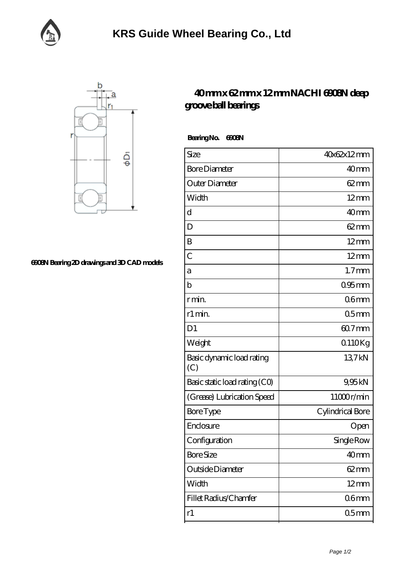



## **[6908N Bearing 2D drawings and 3D CAD models](https://facebook-desktop.com/pic-103631.html)**

## **[40 mm x 62 mm x 12 mm NACHI 6908N deep](https://facebook-desktop.com/ar-103631-nachi-6908n-deep-groove-ball-bearings.html) [groove ball bearings](https://facebook-desktop.com/ar-103631-nachi-6908n-deep-groove-ball-bearings.html)**

 **Bearing No. 6908N**

| Size                             | 40x62x12mm       |
|----------------------------------|------------------|
| <b>Bore Diameter</b>             | 40 <sub>mm</sub> |
| Outer Diameter                   | $62 \text{mm}$   |
| Width                            | $12 \text{mm}$   |
| $\mathbf d$                      | 40mm             |
| D                                | $62 \text{mm}$   |
| B                                | $12 \text{mm}$   |
| $\overline{C}$                   | $12 \text{mm}$   |
| а                                | $1.7$ mm         |
| $\mathbf b$                      | $095$ mm         |
| r min.                           | 06 <sub>mm</sub> |
| r1 min.                          | 05 <sub>mm</sub> |
| D <sub>1</sub>                   | $607$ mm         |
| Weight                           | 0110Kg           |
| Basic dynamic load rating<br>(C) | 137kN            |
| Basic static load rating (CO)    | 9,95kN           |
| (Grease) Lubrication Speed       | 11000r/min       |
| <b>Bore</b> Type                 | Cylindrical Bore |
| Enclosure                        | Open             |
| Configuration                    | Single Row       |
| <b>Bore Size</b>                 | 40mm             |
| Outside Diameter                 | 62 mm            |
| Width                            | $12 \text{mm}$   |
| Fillet Radius/Chamfer            | 06mm             |
| r1                               | 05 <sub>mm</sub> |